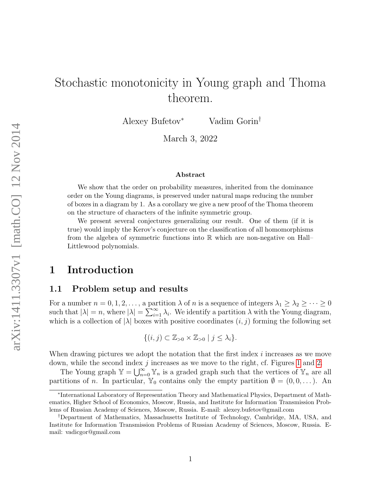# Stochastic monotonicity in Young graph and Thoma theorem.

Alexey Bufetov<sup>∗</sup> Vadim Gorin†

March 3, 2022

#### Abstract

We show that the order on probability measures, inherited from the dominance order on the Young diagrams, is preserved under natural maps reducing the number of boxes in a diagram by 1. As a corollary we give a new proof of the Thoma theorem on the structure of characters of the infinite symmetric group.

We present several conjectures generalizing our result. One of them (if it is true) would imply the Kerov's conjecture on the classification of all homomorphisms from the algebra of symmetric functions into  $\mathbb R$  which are non-negative on Hall– Littlewood polynomials.

### 1 Introduction

#### 1.1 Problem setup and results

For a number  $n = 0, 1, 2, \ldots$ , a partition  $\lambda$  of n is a sequence of integers  $\lambda_1 \geq \lambda_2 \geq \cdots \geq 0$ such that  $|\lambda| = n$ , where  $|\lambda| = \sum_{i=1}^{\infty} \lambda_i$ . We identify a partition  $\lambda$  with the Young diagram, which is a collection of  $|\lambda|$  boxes with positive coordinates  $(i, j)$  forming the following set

$$
\{(i,j)\subset \mathbb{Z}_{>0}\times \mathbb{Z}_{>0} \mid j\leq \lambda_i\}.
$$

When drawing pictures we adopt the notation that the first index  $i$  increases as we move down, while the second index j increases as we move to the right, cf. Figures [1](#page-5-0) and [2.](#page-6-0)

The Young graph  $\mathbb{Y} = \bigcup_{n=0}^{\infty} \mathbb{Y}_n$  is a graded graph such that the vertices of  $\mathbb{Y}_n$  are all partitions of n. In particular,  $\mathbb{Y}_0$  contains only the empty partition  $\emptyset = (0, 0, \dots)$ . An

<sup>∗</sup> International Laboratory of Representation Theory and Mathematical Physics, Department of Mathematics, Higher School of Economics, Moscow, Russia, and Institute for Information Transmission Problems of Russian Academy of Sciences, Moscow, Russia. E-mail: alexey.bufetov@gmail.com

<sup>†</sup>Department of Mathematics, Massachusetts Institute of Technology, Cambridge, MA, USA, and Institute for Information Transmission Problems of Russian Academy of Sciences, Moscow, Russia. Email: vadicgor@gmail.com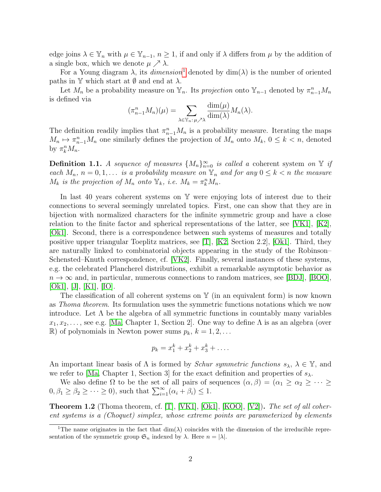edge joins  $\lambda \in \mathbb{Y}_n$  with  $\mu \in \mathbb{Y}_{n-1}$ ,  $n \geq 1$ , if and only if  $\lambda$  differs from  $\mu$  by the addition of a single box, which we denote  $\mu \nearrow \lambda$ .

For a Young diagram  $\lambda$ , its *dimension*<sup>[1](#page-1-0)</sup> denoted by  $\dim(\lambda)$  is the number of oriented paths in  $\mathbb Y$  which start at  $\emptyset$  and end at  $\lambda$ .

Let  $M_n$  be a probability measure on  $\mathbb{Y}_n$ . Its *projection* onto  $\mathbb{Y}_{n-1}$  denoted by  $\pi_{n-1}^n M_n$ is defined via

$$
(\pi_{n-1}^n M_n)(\mu) = \sum_{\lambda \in \mathbb{Y}_n : \mu \nearrow \lambda} \frac{\dim(\mu)}{\dim(\lambda)} M_n(\lambda).
$$

The definition readily implies that  $\pi_{n-1}^n M_n$  is a probability measure. Iterating the maps  $M_n \mapsto \pi_{n-1}^n M_n$  one similarly defines the projection of  $M_n$  onto  $M_k$ ,  $0 \leq k < n$ , denoted by  $\pi_k^n M_n$ .

**Definition 1.1.** A sequence of measures  $\{M_n\}_{n=0}^{\infty}$  is called a coherent system on Y if each  $M_n$ ,  $n = 0, 1, \ldots$  is a probability measure on  $\mathbb{Y}_n$  and for any  $0 \leq k < n$  the measure  $M_k$  is the projection of  $M_n$  onto  $\mathbb{Y}_k$ , i.e.  $M_k = \pi_k^n M_n$ .

In last 40 years coherent systems on Y were enjoying lots of interest due to their connections to several seemingly unrelated topics. First, one can show that they are in bijection with normalized characters for the infinite symmetric group and have a close relation to the finite factor and spherical representations of the latter, see [\[VK1\]](#page-17-0), [\[K2\]](#page-16-0), [\[Ok1\]](#page-17-1). Second, there is a correspondence between such systems of measures and totally positive upper triangular Toeplitz matrices, see [\[T\]](#page-17-2), [\[K2,](#page-16-0) Section 2.2], [\[Ok1\]](#page-17-1). Third, they are naturally linked to combinatorial objects appearing in the study of the Robinson– Schensted–Knuth correspondence, cf. [\[VK2\]](#page-17-3). Finally, several instances of these systems, e.g. the celebrated Plancherel distributions, exhibit a remarkable asymptotic behavior as  $n \to \infty$  and, in particular, numerous connections to random matrices, see [\[BDJ\]](#page-15-0), [\[BOO\]](#page-15-1),  $[Ok1], [J], [K1], [IO].$  $[Ok1], [J], [K1], [IO].$  $[Ok1], [J], [K1], [IO].$  $[Ok1], [J], [K1], [IO].$  $[Ok1], [J], [K1], [IO].$  $[Ok1], [J], [K1], [IO].$  $[Ok1], [J], [K1], [IO].$  $[Ok1], [J], [K1], [IO].$ 

The classification of all coherent systems on  $\mathbb {Y}$  (in an equivalent form) is now known as Thoma theorem. Its formulation uses the symmetric functions notations which we now introduce. Let  $\Lambda$  be the algebra of all symmetric functions in countably many variables  $x_1, x_2, \ldots$ , see e.g. [\[Ma,](#page-16-4) Chapter 1, Section 2]. One way to define  $\Lambda$  is as an algebra (over  $\mathbb{R}$ ) of polynomials in Newton power sums  $p_k, k = 1, 2, \ldots$ 

$$
p_k = x_1^k + x_2^k + x_3^k + \dots
$$

An important linear basis of  $\Lambda$  is formed by *Schur symmetric functions*  $s_{\lambda}, \lambda \in \mathbb{Y}$ , and we refer to [\[Ma,](#page-16-4) Chapter 1, Section 3] for the exact definition and properties of  $s_{\lambda}$ .

We also define  $\Omega$  to be the set of all pairs of sequences  $(\alpha, \beta) = (\alpha_1 \geq \alpha_2 \geq \cdots \geq \alpha_n)$  $0, \beta_1 \geq \beta_2 \geq \cdots \geq 0$ , such that  $\sum_{i=1}^{\infty} (\alpha_i + \beta_i) \leq 1$ .

<span id="page-1-1"></span>**Theorem 1.2** (Thoma theorem, cf. [\[T\]](#page-17-2), [\[VK1\]](#page-17-0), [\[Ok1\]](#page-17-1), [\[KOO\]](#page-16-5), [\[V2\]](#page-17-5)). The set of all coherent systems is a (Choquet) simplex, whose extreme points are parameterized by elements

<span id="page-1-0"></span><sup>&</sup>lt;sup>1</sup>The name originates in the fact that  $dim(\lambda)$  coincides with the dimension of the irreducible representation of the symmetric group  $\mathfrak{S}_n$  indexed by  $\lambda$ . Here  $n = |\lambda|$ .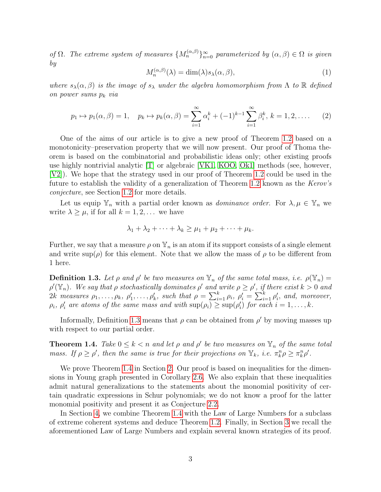of  $\Omega$ . The extreme system of measures  $\{M_n^{(\alpha,\beta)}\}_{n=0}^{\infty}$  parameterized by  $(\alpha,\beta) \in \Omega$  is given by

<span id="page-2-2"></span>
$$
M_n^{(\alpha,\beta)}(\lambda) = \dim(\lambda)s_\lambda(\alpha,\beta),\tag{1}
$$

where  $s_{\lambda}(\alpha,\beta)$  is the image of  $s_{\lambda}$  under the algebra homomorphism from  $\Lambda$  to  $\mathbb R$  defined on power sums  $p_k$  via

<span id="page-2-3"></span>
$$
p_1 \mapsto p_1(\alpha, \beta) = 1, \quad p_k \mapsto p_k(\alpha, \beta) = \sum_{i=1}^{\infty} \alpha_i^k + (-1)^{k-1} \sum_{i=1}^{\infty} \beta_i^k, \ k = 1, 2, \dots
$$
 (2)

One of the aims of our article is to give a new proof of Theorem [1.2](#page-1-1) based on a monotonicity–preservation property that we will now present. Our proof of Thoma theorem is based on the combinatorial and probabilistic ideas only; other existing proofs use highly nontrivial analytic [\[T\]](#page-17-2) or algebraic [\[VK1,](#page-17-0) [KOO,](#page-16-5) [Ok1\]](#page-17-1) methods (see, however, [\[V2\]](#page-17-5)). We hope that the strategy used in our proof of Theorem [1.2](#page-1-1) could be used in the future to establish the validity of a generalization of Theorem [1.2](#page-1-1) known as the Kerov's conjecture, see Section [1.2](#page-3-0) for more details.

Let us equip  $\mathbb{Y}_n$  with a partial order known as *dominance order*. For  $\lambda, \mu \in \mathbb{Y}_n$  we write  $\lambda \geq \mu$ , if for all  $k = 1, 2, \ldots$  we have

$$
\lambda_1 + \lambda_2 + \cdots + \lambda_k \ge \mu_1 + \mu_2 + \cdots + \mu_k.
$$

Further, we say that a measure  $\rho$  on  $\mathbb{Y}_n$  is an atom if its support consists of a single element and write  $\sup(\rho)$  for this element. Note that we allow the mass of  $\rho$  to be different from 1 here.

<span id="page-2-0"></span>**Definition 1.3.** Let  $\rho$  and  $\rho'$  be two measures on  $\mathbb{Y}_n$  of the same total mass, i.e.  $\rho(\mathbb{Y}_n)$  =  $\rho'(\mathbb{Y}_n)$ . We say that  $\rho$  stochastically dominates  $\rho'$  and write  $\rho \geq \rho'$ , if there exist  $k > 0$  and 2k measures  $\rho_1, \ldots, \rho_k, \rho'_1, \ldots, \rho'_k$ , such that  $\rho = \sum_{i=1}^k \rho_i$ ,  $\rho'_i = \sum_{i=1}^k \rho'_i$ , and, moreover,  $\rho_i$ ,  $\rho'_i$  are atoms of the same mass and with  $\sup(\rho_i) \geq \sup(\rho'_i)$  for each  $i = 1, \ldots, k$ .

Informally, Definition [1.3](#page-2-0) means that  $\rho$  can be obtained from  $\rho'$  by moving masses up with respect to our partial order.

<span id="page-2-1"></span>**Theorem 1.4.** Take  $0 \leq k < n$  and let  $\rho$  and  $\rho'$  be two measures on  $\mathbb{Y}_n$  of the same total mass. If  $\rho \ge \rho'$ , then the same is true for their projections on  $\mathbb{Y}_k$ , i.e.  $\pi_k^n \rho \ge \pi_k^n \rho'$ .

We prove Theorem [1.4](#page-2-1) in Section [2.](#page-4-0) Our proof is based on inequalities for the dimensions in Young graph presented in Corollary [2.6.](#page-7-0) We also explain that these inequalities admit natural generalizations to the statements about the monomial positivity of certain quadratic expressions in Schur polynomials; we do not know a proof for the latter monomial positivity and present it as Conjecture [2.2.](#page-7-1)

In Section [4,](#page-11-0) we combine Theorem [1.4](#page-2-1) with the Law of Large Numbers for a subclass of extreme coherent systems and deduce Theorem [1.2.](#page-1-1) Finally, in Section [3](#page-9-0) we recall the aforementioned Law of Large Numbers and explain several known strategies of its proof.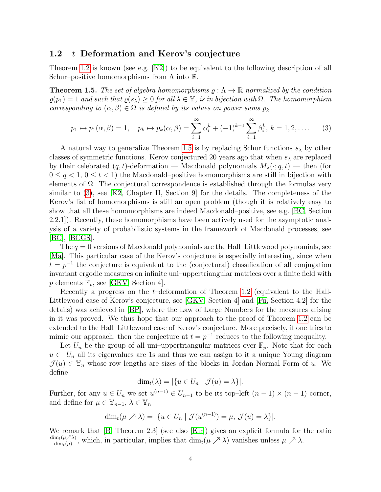#### <span id="page-3-0"></span>1.2 t–Deformation and Kerov's conjecture

Theorem [1.2](#page-1-1) is known (see e.g. [\[K2\]](#page-16-0)) to be equivalent to the following description of all Schur–positive homomorphisms from  $\Lambda$  into  $\mathbb{R}$ .

<span id="page-3-1"></span>**Theorem 1.5.** The set of algebra homomorphisms  $\rho : \Lambda \to \mathbb{R}$  normalized by the condition  $\rho(p_1) = 1$  and such that  $\rho(s_\lambda) \geq 0$  for all  $\lambda \in \mathbb{Y}$ , is in bijection with  $\Omega$ . The homomorphism corresponding to  $(\alpha, \beta) \in \Omega$  is defined by its values on power sums  $p_k$ 

<span id="page-3-2"></span>
$$
p_1 \mapsto p_1(\alpha, \beta) = 1, \quad p_k \mapsto p_k(\alpha, \beta) = \sum_{i=1}^{\infty} \alpha_i^k + (-1)^{k-1} \sum_{i=1}^{\infty} \beta_i^k, \ k = 1, 2, \dots
$$
 (3)

A natural way to generalize Theorem [1.5](#page-3-1) is by replacing Schur functions  $s_{\lambda}$  by other classes of symmetric functions. Kerov conjectured 20 years ago that when  $s_{\lambda}$  are replaced by their celebrated  $(q, t)$ -deformation — Macdonald polynomials  $M_\lambda(\cdot; q, t)$  — then (for  $0 \leq q < 1, 0 \leq t < 1$ ) the Macdonald–positive homomorphisms are still in bijection with elements of  $\Omega$ . The conjectural correspondence is established through the formulas very similar to  $(3)$ , see [\[K2,](#page-16-0) Chapter II, Section 9] for the details. The completeness of the Kerov's list of homomorphisms is still an open problem (though it is relatively easy to show that all these homomorphisms are indeed Macdonald–positive, see e.g. [\[BC,](#page-15-2) Section 2.2.1]). Recently, these homomorphisms have been actively used for the asymptotic analysis of a variety of probabilistic systems in the framework of Macdonald processes, see [\[BC\]](#page-15-2), [\[BCGS\]](#page-15-3).

The  $q = 0$  versions of Macdonald polynomials are the Hall–Littlewood polynomials, see [\[Ma\]](#page-16-4). This particular case of the Kerov's conjecture is especially interesting, since when  $t = p^{-1}$  the conjecture is equivalent to the (conjectural) classification of all conjugation invariant ergodic measures on infinite uni–uppertriangular matrices over a finite field with p elements  $\mathbb{F}_p$ , see [\[GKV,](#page-16-6) Section 4].

Recently a progress on the t–deformation of Theorem [1.2](#page-1-1) (equivalent to the Hall-Littlewood case of Kerov's conjecture, see [\[GKV,](#page-16-6) Section 4] and [\[Fu,](#page-16-7) Section 4.2] for the details) was achieved in [\[BP\]](#page-15-4), where the Law of Large Numbers for the measures arising in it was proved. We thus hope that our approach to the proof of Theorem [1.2](#page-1-1) can be extended to the Hall–Littlewood case of Kerov's conjecture. More precisely, if one tries to mimic our approach, then the conjecture at  $t = p^{-1}$  reduces to the following inequality.

Let  $U_n$  be the group of all uni–uppertriangular matrices over  $\mathbb{F}_p$ . Note that for each  $u \in U_n$  all its eigenvalues are 1s and thus we can assign to it a unique Young diagram  $\mathcal{J}(u) \in \mathbb{Y}_n$  whose row lengths are sizes of the blocks in Jordan Normal Form of u. We define

$$
\dim_t(\lambda) = |\{u \in U_n \mid \mathcal{J}(u) = \lambda\}|.
$$

Further, for any  $u \in U_n$  we set  $u^{(n-1)} \in U_{n-1}$  to be its top-left  $(n-1) \times (n-1)$  corner, and define for  $\mu \in \mathbb{Y}_{n-1}, \lambda \in \mathbb{Y}_n$ 

$$
\dim_t(\mu \nearrow \lambda) = |\{u \in U_n \mid \mathcal{J}(u^{(n-1)}) = \mu, \mathcal{J}(u) = \lambda\}|.
$$

We remark that [\[B,](#page-15-5) Theorem 2.3] (see also [\[Kir\]](#page-16-8)) gives an explicit formula for the ratio  $\dim_t(\mu\nearrow\lambda)$  $\frac{m_t(\mu \nearrow \lambda)}{\dim_t(\mu)}$ , which, in particular, implies that  $\dim_t(\mu \nearrow \lambda)$  vanishes unless  $\mu \nearrow \lambda$ .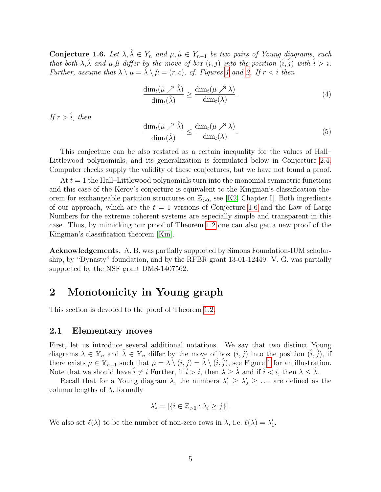<span id="page-4-1"></span>Conjecture 1.6. Let  $\lambda, \lambda \in Y_n$  and  $\mu, \hat{\mu} \in Y_{n-1}$  be two pairs of Young diagrams, such that both  $\lambda, \hat{\lambda}$  and  $\mu, \hat{\mu}$  differ by the move of box  $(i, j)$  into the position  $(\hat{i}, \hat{j})$  with  $\hat{i} > i$ . Further, assume that  $\lambda \setminus \mu = \hat{\lambda} \setminus \hat{\mu} = (r, c)$ , cf. Figures [1](#page-5-0) and [2.](#page-6-0) If  $r < i$  then

$$
\frac{\dim_t(\hat{\mu} \nearrow \hat{\lambda})}{\dim_t(\hat{\lambda})} \ge \frac{\dim_t(\mu \nearrow \lambda)}{\dim_t(\lambda)}.
$$
\n(4)

If  $r > \hat{i}$ , then

$$
\frac{\dim_t(\hat{\mu} \nearrow \hat{\lambda})}{\dim_t(\hat{\lambda})} \le \frac{\dim_t(\mu \nearrow \lambda)}{\dim_t(\lambda)}.
$$
\n(5)

This conjecture can be also restated as a certain inequality for the values of Hall– Littlewood polynomials, and its generalization is formulated below in Conjecture [2.4.](#page-7-2) Computer checks supply the validity of these conjectures, but we have not found a proof.

At  $t = 1$  the Hall–Littlewood polynomials turn into the monomial symmetric functions and this case of the Kerov's conjecture is equivalent to the Kingman's classification theorem for exchangeable partition structures on  $\mathbb{Z}_{>0}$ , see [\[K2,](#page-16-0) Chapter I]. Both ingredients of our approach, which are the  $t = 1$  versions of Conjecture [1.6](#page-4-1) and the Law of Large Numbers for the extreme coherent systems are especially simple and transparent in this case. Thus, by mimicking our proof of Theorem [1.2](#page-1-1) one can also get a new proof of the Kingman's classification theorem [\[Kin\]](#page-16-9).

Acknowledgements. A. B. was partially supported by Simons Foundation-IUM scholarship, by "Dynasty" foundation, and by the RFBR grant 13-01-12449. V. G. was partially supported by the NSF grant DMS-1407562.

### <span id="page-4-0"></span>2 Monotonicity in Young graph

This section is devoted to the proof of Theorem [1.2.](#page-1-1)

#### 2.1 Elementary moves

First, let us introduce several additional notations. We say that two distinct Young diagrams  $\lambda \in \mathbb{Y}_n$  and  $\hat{\lambda} \in \mathbb{Y}_n$  differ by the move of box  $(i, j)$  into the position  $(\hat{i}, \hat{j})$ , if there exists  $\mu \in \mathbb{Y}_{n-1}$  such that  $\mu = \lambda \setminus (i, j) = \hat{\lambda} \setminus (\hat{i}, \hat{j})$ , see Figure [1](#page-5-0) for an illustration. Note that we should have  $\hat{i} \neq i$  Further, if  $\hat{i} > i$ , then  $\lambda \geq \hat{\lambda}$  and if  $\hat{i} < i$ , then  $\lambda \leq \hat{\lambda}$ .

Recall that for a Young diagram  $\lambda$ , the numbers  $\lambda'_1 \geq \lambda'_2 \geq \ldots$  are defined as the column lengths of  $\lambda$ , formally

$$
\lambda'_j = |\{i \in \mathbb{Z}_{>0} : \lambda_i \ge j\}|.
$$

We also set  $\ell(\lambda)$  to be the number of non-zero rows in  $\lambda$ , i.e.  $\ell(\lambda) = \lambda'_1$ .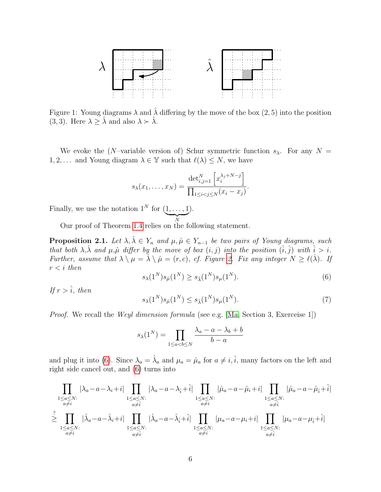

<span id="page-5-0"></span>Figure 1: Young diagrams  $\lambda$  and  $\lambda$  differing by the move of the box  $(2, 5)$  into the position (3, 3). Here  $\lambda \geq \hat{\lambda}$  and also  $\lambda \succ \hat{\lambda}$ .

We evoke the (N–variable version of) Schur symmetric function  $s_{\lambda}$ . For any  $N =$ 1, 2, ... and Young diagram  $\lambda \in \mathbb{Y}$  such that  $\ell(\lambda) \leq N$ , we have

$$
s_{\lambda}(x_1,\ldots,x_N)=\frac{\det_{i,j=1}^N\left[x_i^{\lambda_j+N-j}\right]}{\prod_{1\leq i
$$

Finally, we use the notation  $1^N$  for  $(1, \ldots, 1)$  $\overline{N}$ ).

Our proof of Theorem [1.4](#page-2-1) relies on the following statement.

<span id="page-5-2"></span>**Proposition 2.1.** Let  $\lambda, \hat{\lambda} \in Y_n$  and  $\mu, \hat{\mu} \in Y_{n-1}$  be two pairs of Young diagrams, such that both  $\lambda, \hat{\lambda}$  and  $\mu, \hat{\mu}$  differ by the move of box  $(i, j)$  into the position  $(i, \hat{j})$  with  $(i > i$ . Further, assume that  $\lambda \setminus \mu = \widehat{\lambda} \setminus \widehat{\mu} = (r, c)$ , cf. Figure [2.](#page-6-0) Fix any integer  $N \geq \ell(\widehat{\lambda})$ . If  $r < i$  then

<span id="page-5-1"></span>
$$
s_{\lambda}(1^{N})s_{\hat{\mu}}(1^{N}) \ge s_{\hat{\lambda}}(1^{N})s_{\mu}(1^{N}).
$$
\n(6)

If  $r > \hat{i}$ , then

$$
s_{\lambda}(1^{N})s_{\hat{\mu}}(1^{N}) \leq s_{\hat{\lambda}}(1^{N})s_{\mu}(1^{N}).
$$
\n(7)

Proof. We recall the Weyl dimension formula (see e.g. [\[Ma,](#page-16-4) Section 3, Exerceise 1])

$$
s_{\lambda}(1^{N}) = \prod_{1 \le a < b \le N} \frac{\lambda_{a} - a - \lambda_{b} + b}{b - a}
$$

and plug it into [\(6\)](#page-5-1). Since  $\lambda_a = \hat{\lambda}_a$  and  $\mu_a = \hat{\mu}_a$  for  $a \neq i, \hat{i}$ , many factors on the left and right side cancel out, and [\(6\)](#page-5-1) turns into

$$
\prod_{\substack{1 \leq a \leq N:\\a \neq i}} |\lambda_a - a - \lambda_i + i| \prod_{\substack{1 \leq a \leq N:\\a \neq i}} |\lambda_a - a - \lambda_{\hat{i}} + \hat{i}| \prod_{\substack{1 \leq a \leq N:\\a \neq i}} |\hat{\mu}_a - a - \hat{\mu}_i + i| \prod_{\substack{1 \leq a \leq N:\\a \neq i}} |\hat{\mu}_a - a - \hat{\mu}_{\hat{i}} + \hat{i}|
$$
  

$$
\geq \prod_{\substack{1 \leq a \leq N:\\a \neq i}} |\hat{\lambda}_a - a - \hat{\lambda}_i + i| \prod_{\substack{1 \leq a \leq N:\\a \neq i}} |\hat{\lambda}_a - a - \hat{\lambda}_{\hat{i}} + \hat{i}| \prod_{\substack{1 \leq a \leq N:\\a \neq i}} |\mu_a - a - \mu_i + i| \prod_{\substack{1 \leq a \leq N:\\a \neq \hat{i}}} |\mu_a - a - \mu_{\hat{i}} + \hat{i}|
$$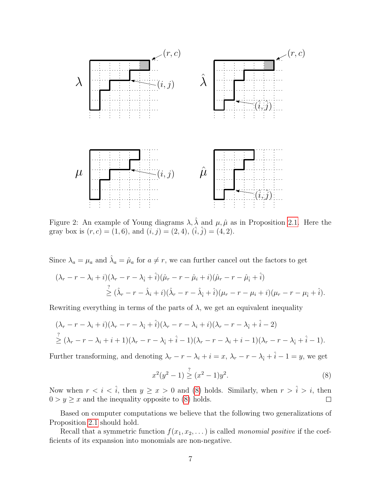

<span id="page-6-0"></span>Figure 2: An example of Young diagrams  $\lambda, \hat{\lambda}$  and  $\mu, \hat{\mu}$  as in Proposition [2.1.](#page-5-2) Here the gray box is  $(r, c) = (1, 6)$ , and  $(i, j) = (2, 4)$ ,  $(\hat{i}, \hat{j}) = (4, 2)$ .

Since  $\lambda_a = \mu_a$  and  $\hat{\lambda}_a = \hat{\mu}_a$  for  $a \neq r$ , we can further cancel out the factors to get

$$
(\lambda_r - r - \lambda_i + i)(\lambda_r - r - \lambda_{\hat{i}} + \hat{i})(\hat{\mu}_r - r - \hat{\mu}_i + i)(\hat{\mu}_r - r - \hat{\mu}_{\hat{i}} + \hat{i})
$$
  

$$
\geq (\hat{\lambda}_r - r - \hat{\lambda}_i + i)(\hat{\lambda}_r - r - \hat{\lambda}_{\hat{i}} + \hat{i})(\mu_r - r - \mu_i + i)(\mu_r - r - \mu_{\hat{i}} + \hat{i}).
$$

Rewriting everything in terms of the parts of  $\lambda$ , we get an equivalent inequality

$$
(\lambda_r - r - \lambda_i + i)(\lambda_r - r - \lambda_{\hat{i}} + \hat{i})(\lambda_r - r - \lambda_i + i)(\lambda_r - r - \lambda_{\hat{i}} + \hat{i} - 2)
$$
  

$$
\geq (\lambda_r - r - \lambda_i + i + 1)(\lambda_r - r - \lambda_{\hat{i}} + \hat{i} - 1)(\lambda_r - r - \lambda_i + i - 1)(\lambda_r - r - \lambda_{\hat{i}} + \hat{i} - 1).
$$

Further transforming, and denoting  $\lambda_r - r - \lambda_i + i = x$ ,  $\lambda_r - r - \lambda_i + i - 1 = y$ , we get

<span id="page-6-1"></span>
$$
x^{2}(y^{2}-1) \stackrel{?}{\geq} (x^{2}-1)y^{2}.
$$
 (8)

Now when  $r < i < \hat{i}$ , then  $y \ge x > 0$  and [\(8\)](#page-6-1) holds. Similarly, when  $r > \hat{i} > i$ , then  $0 > y \geq x$  and the inequality opposite to [\(8\)](#page-6-1) holds.  $\Box$ 

Based on computer computations we believe that the following two generalizations of Proposition [2.1](#page-5-2) should hold.

Recall that a symmetric function  $f(x_1, x_2, \ldots)$  is called *monomial positive* if the coefficients of its expansion into monomials are non-negative.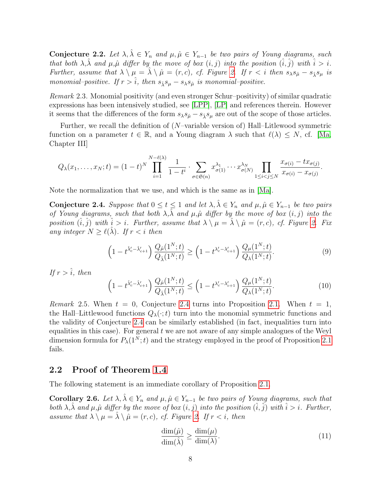<span id="page-7-1"></span>Conjecture 2.2. Let  $\lambda, \hat{\lambda} \in Y_n$  and  $\mu, \hat{\mu} \in Y_{n-1}$  be two pairs of Young diagrams, such that both  $\lambda, \hat{\lambda}$  and  $\mu, \hat{\mu}$  differ by the move of box  $(i, j)$  into the position  $(\hat{i}, \hat{j})$  with  $\hat{i} > i$ . Further, assume that  $\lambda \setminus \mu = \hat{\lambda} \setminus \hat{\mu} = (r, c)$ , cf. Figure [2.](#page-6-0) If  $r < i$  then  $s_{\lambda} s_{\hat{\mu}} - s_{\hat{\lambda}} s_{\mu}$  is monomial–positive. If  $r > \hat{i}$ , then  $s_{\hat{i}} s_{\mu} - s_{\lambda} s_{\hat{\mu}}$  is monomial–positive.

Remark 2.3. Monomial positivity (and even stronger Schur–positivity) of similar quadratic expressions has been intensively studied, see [\[LPP\]](#page-16-10), [\[LP\]](#page-16-11) and references therein. However it seems that the differences of the form  $s_{\lambda}s_{\hat{\mu}}-s_{\hat{\lambda}}s_{\mu}$  are out of the scope of those articles.

Further, we recall the definition of (N–variable version of) Hall–Litlewood symmetric function on a parameter  $t \in \mathbb{R}$ , and a Young diagram  $\lambda$  such that  $\ell(\lambda) \leq N$ , cf. [\[Ma,](#page-16-4) Chapter III]

$$
Q_{\lambda}(x_1,\ldots,x_N;t)=(1-t)^N\prod_{i=1}^{N-\ell(\lambda)}\frac{1}{1-t^i}\cdot\sum_{\sigma\in\mathfrak{S}(n)}x_{\sigma(1)}^{\lambda_1}\cdots x_{\sigma(N)}^{\lambda_N}\prod_{1\leq i
$$

Note the normalization that we use, and which is the same as in [\[Ma\]](#page-16-4).

<span id="page-7-2"></span>**Conjecture 2.4.** Suppose that  $0 \le t \le 1$  and let  $\lambda, \hat{\lambda} \in Y_n$  and  $\mu, \hat{\mu} \in Y_{n-1}$  be two pairs of Young diagrams, such that both  $\lambda, \overline{\lambda}$  and  $\mu, \hat{\mu}$  differ by the move of box  $(i, j)$  into the position  $(\hat{i}, \hat{j})$  with  $\hat{i} > i$ . Further, assume that  $\lambda \setminus \mu = \hat{\lambda} \setminus \hat{\mu} = (r, c)$ , cf. Figure [2.](#page-6-0) Fix any integer  $N \geq \ell(\hat{\lambda})$ . If  $r < i$  then

$$
\left(1 - t^{\hat{\lambda}'_c - \hat{\lambda}'_{c+1}}\right) \frac{Q_{\hat{\mu}}(1^N; t)}{Q_{\hat{\lambda}}(1^N; t)} \ge \left(1 - t^{\lambda'_c - \lambda'_{c+1}}\right) \frac{Q_{\mu}(1^N; t)}{Q_{\lambda}(1^N; t)}.
$$
\n(9)

If  $r > \hat{i}$ , then

$$
\left(1 - t^{\hat{\lambda}'_c - \hat{\lambda}'_{c+1}}\right) \frac{Q_{\hat{\mu}}(1^N; t)}{Q_{\hat{\lambda}}(1^N; t)} \le \left(1 - t^{\lambda'_c - \lambda'_{c+1}}\right) \frac{Q_{\mu}(1^N; t)}{Q_{\lambda}(1^N; t)}.
$$
\n(10)

Remark 2.5. When  $t = 0$ , Conjecture [2.4](#page-7-2) turns into Proposition [2.1.](#page-5-2) When  $t = 1$ , the Hall–Littlewood functions  $Q_{\lambda}(\cdot;t)$  turn into the monomial symmetric functions and the validity of Conjecture [2.4](#page-7-2) can be similarly established (in fact, inequalities turn into equalities in this case). For general  $t$  we are not aware of any simple analogues of the Weyl dimension formula for  $P_{\lambda}(1^{\overline{N}};t)$  and the strategy employed in the proof of Proposition [2.1](#page-5-2) fails.

### 2.2 Proof of Theorem [1.4](#page-2-1)

The following statement is an immediate corollary of Proposition [2.1.](#page-5-2)

<span id="page-7-0"></span>Corollary 2.6. Let  $\lambda, \hat{\lambda} \in Y_n$  and  $\mu, \hat{\mu} \in Y_{n-1}$  be two pairs of Young diagrams, such that both  $\lambda, \hat{\lambda}$  and  $\mu, \hat{\mu}$  differ by the move of box  $(i, j)$  into the position  $(\hat{i}, \hat{j})$  with  $\hat{i} > i$ . Further, assume that  $\lambda \setminus \mu = \hat{\lambda} \setminus \hat{\mu} = (r, c)$ , cf. Figure [2.](#page-6-0) If  $r < i$ , then

<span id="page-7-3"></span>
$$
\frac{\dim(\hat{\mu})}{\dim(\hat{\lambda})} \ge \frac{\dim(\mu)}{\dim(\lambda)}.\tag{11}
$$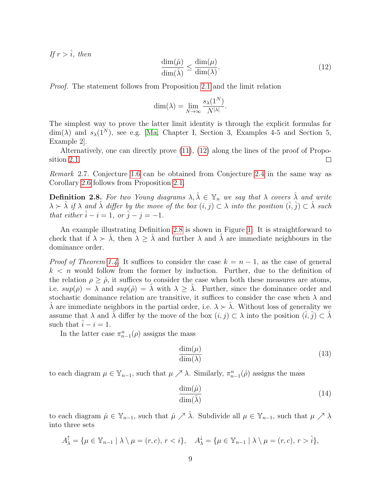If  $r > \hat{i}$ , then

<span id="page-8-0"></span>
$$
\frac{\dim(\hat{\mu})}{\dim(\hat{\lambda})} \le \frac{\dim(\mu)}{\dim(\lambda)}.\tag{12}
$$

Proof. The statement follows from Proposition [2.1](#page-5-2) and the limit relation

$$
\dim(\lambda) = \lim_{N \to \infty} \frac{s_{\lambda}(1^N)}{N^{|\lambda|}}.
$$

The simplest way to prove the latter limit identity is through the explicit formulas for dim( $\lambda$ ) and  $s_{\lambda}(1^N)$ , see e.g. [\[Ma,](#page-16-4) Chapter I, Section 3, Examples 4-5 and Section 5, Example 2].

Alternatively, one can directly prove [\(11\)](#page-7-3), [\(12\)](#page-8-0) along the lines of the proof of Proposition [2.1.](#page-5-2)  $\Box$ 

Remark 2.7. Conjecture [1.6](#page-4-1) can be obtained from Conjecture [2.4](#page-7-2) in the same way as Corollary [2.6](#page-7-0) follows from Proposition [2.1.](#page-5-2)

<span id="page-8-1"></span>**Definition 2.8.** For two Young diagrams  $\lambda, \hat{\lambda} \in \mathbb{Y}_n$  we say that  $\lambda$  covers  $\hat{\lambda}$  and write  $\lambda \succ \hat{\lambda}$  if  $\lambda$  and  $\hat{\lambda}$  differ by the move of the box  $(i, j) \subset \lambda$  into the position  $(\hat{i}, \hat{j}) \subset \hat{\lambda}$  such that either  $\hat{i} - i = 1$ , or  $\hat{j} - j = -1$ .

An example illustrating Definition [2.8](#page-8-1) is shown in Figure [1.](#page-5-0) It is straightforward to check that if  $\lambda \succ \hat{\lambda}$ , then  $\lambda \geq \hat{\lambda}$  and further  $\lambda$  and  $\hat{\lambda}$  are immediate neighbours in the dominance order.

*Proof of Theorem [1.4.](#page-2-1)* It suffices to consider the case  $k = n - 1$ , as the case of general  $k < n$  would follow from the former by induction. Further, due to the definition of the relation  $\rho \geq \hat{\rho}$ , it suffices to consider the case when both these measures are atoms, i.e.  $sup(\rho) = \lambda$  and  $sup(\hat{\rho}) = \lambda$  with  $\lambda \geq \lambda$ . Further, since the dominance order and stochastic dominance relation are transitive, it suffices to consider the case when  $\lambda$  and  $\lambda$  are immediate neighbors in the partial order, i.e.  $\lambda \succ \lambda$ . Without loss of generality we assume that  $\lambda$  and  $\hat{\lambda}$  differ by the move of the box  $(i, j) \subset \lambda$  into the position  $(i, j) \subset \hat{\lambda}$ such that  $\hat{i} - i = 1$ .

In the latter case  $\pi_{n-1}^n(\rho)$  assigns the mass

<span id="page-8-2"></span>
$$
\frac{\dim(\mu)}{\dim(\lambda)}\tag{13}
$$

to each diagram  $\mu \in \mathbb{Y}_{n-1}$ , such that  $\mu \nearrow \lambda$ . Similarly,  $\pi_{n-1}^n(\hat{\rho})$  assigns the mass

<span id="page-8-3"></span>
$$
\frac{\dim(\hat{\mu})}{\dim(\hat{\lambda})} \tag{14}
$$

to each diagram  $\hat{\mu} \in \mathbb{Y}_{n-1}$ , such that  $\hat{\mu} \nearrow \hat{\lambda}$ . Subdivide all  $\mu \in \mathbb{Y}_{n-1}$ , such that  $\mu \nearrow \lambda$ into three sets

$$
A_{\lambda}^{\uparrow} = \{ \mu \in \mathbb{Y}_{n-1} \mid \lambda \setminus \mu = (r, c), r < i \}, \quad A_{\lambda}^{\downarrow} = \{ \mu \in \mathbb{Y}_{n-1} \mid \lambda \setminus \mu = (r, c), r > \hat{i} \},
$$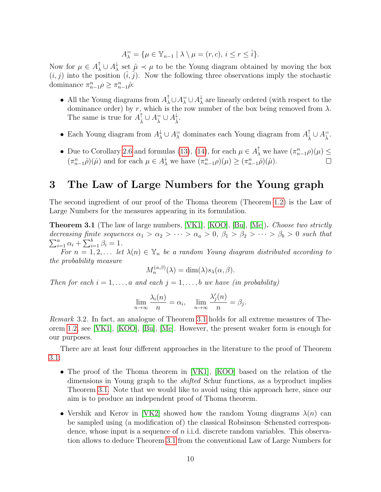$$
A_{\lambda}^{\pm} = \{ \mu \in \mathbb{Y}_{n-1} \mid \lambda \setminus \mu = (r, c), i \le r \le \hat{i} \}.
$$

Now for  $\mu \in A_{\lambda}^{\uparrow} \cup A_{\lambda}^{\downarrow}$  $\hat{\lambda}$  set  $\hat{\mu} \prec \mu$  to be the Young diagram obtained by moving the box  $(i, j)$  into the position  $(\hat{i}, \hat{j})$ . Now the following three observations imply the stochastic dominance  $\pi_{n-1}^n \rho \geq \pi_{n-1}^n \hat{\rho}$ :

- All the Young diagrams from  $A^{\uparrow}_{\lambda} \cup A^{\pm}_{\lambda} \cup A^{\downarrow}_{\lambda}$  $\chi^*$  are linearly ordered (with respect to the dominance order) by r, which is the row number of the box being removed from  $\lambda$ . The same is true for  $A_{\hat{\lambda}}^{\uparrow} \cup A_{\hat{\lambda}}^{\downarrow} \cup A_{\hat{\lambda}}^{\downarrow}$  $\frac{1}{\hat{\lambda}}$ .
- Each Young diagram from  $A^{\downarrow}_{\lambda} \cup A^{\equiv}_{\lambda}$  dominates each Young diagram from  $A^{\uparrow}_{\hat{\lambda}} \cup A^{\equiv}_{\hat{\lambda}}$ .
- Due to Corollary [2.6](#page-7-0) and formulas [\(13\)](#page-8-2), [\(14\)](#page-8-3), for each  $\mu \in A_{\lambda}^{\uparrow}$  we have  $(\pi_{n-1}^n \rho)(\mu) \leq$  $(\pi_{n-1}^n \hat{\rho})(\hat{\mu})$  and for each  $\mu \in A_\lambda^{\downarrow}$  we have  $(\pi_{n-1}^n \rho)(\mu) \geq (\pi_{n-1}^n \hat{\rho})(\hat{\mu})$ .

### <span id="page-9-0"></span>3 The Law of Large Numbers for the Young graph

The second ingredient of our proof of the Thoma theorem (Theorem [1.2\)](#page-1-1) is the Law of Large Numbers for the measures appearing in its formulation.

<span id="page-9-1"></span>**Theorem 3.1** (The law of large numbers, [\[VK1\]](#page-17-0), [\[KOO\]](#page-16-5), [\[Bu\]](#page-15-6), [\[Me\]](#page-17-6)). Choose two strictly decreasing finite sequences  $\alpha_1 > \alpha_2 > \cdots > \alpha_a > 0$ ,  $\beta_1 > \beta_2 > \cdots > \beta_b > 0$  such that  $\sum_{i=1}^{a} \alpha_i + \sum_{i=1}^{b} \beta_i = 1.$ 

For  $n = 1, 2, ...$  let  $\lambda(n) \in \mathbb{Y}_n$  be a random Young diagram distributed according to the probability measure

$$
M_n^{(\alpha,\beta)}(\lambda) = \dim(\lambda) s_\lambda(\alpha,\beta).
$$

Then for each  $i = 1, \ldots, a$  and each  $j = 1, \ldots, b$  we have (in probability)

$$
\lim_{n \to \infty} \frac{\lambda_i(n)}{n} = \alpha_i, \quad \lim_{n \to \infty} \frac{\lambda'_j(n)}{n} = \beta_j.
$$

Remark 3.2. In fact, an analogue of Theorem [3.1](#page-9-1) holds for all extreme measures of Theorem [1.2,](#page-1-1) see [\[VK1\]](#page-17-0), [\[KOO\]](#page-16-5), [\[Bu\]](#page-15-6), [\[Me\]](#page-17-6). However, the present weaker form is enough for our purposes.

There are at least four different approaches in the literature to the proof of Theorem [3.1:](#page-9-1)

- The proof of the Thoma theorem in [\[VK1\]](#page-17-0), [\[KOO\]](#page-16-5) based on the relation of the dimensions in Young graph to the *shifted* Schur functions, as a byproduct implies Theorem [3.1.](#page-9-1) Note that we would like to avoid using this approach here, since our aim is to produce an independent proof of Thoma theorem.
- Vershik and Kerov in [\[VK2\]](#page-17-3) showed how the random Young diagrams  $\lambda(n)$  can be sampled using (a modification of) the classical Robsinson–Schensted correspondence, whose input is a sequence of n i.i.d. discrete random variables. This observation allows to deduce Theorem [3.1](#page-9-1) from the conventional Law of Large Numbers for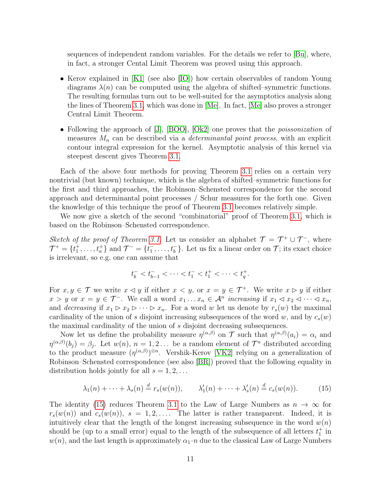sequences of independent random variables. For the details we refer to [\[Bu\]](#page-15-6), where, in fact, a stronger Cental Limit Theorem was proved using this approach.

- Kerov explained in [\[K1\]](#page-16-2) (see also [\[IO\]](#page-16-3)) how certain observables of random Young diagrams  $\lambda(n)$  can be computed using the algebra of shifted–symmetric functions. The resulting formulas turn out to be well-suited for the asymptotics analysis along the lines of Theorem [3.1,](#page-9-1) which was done in [\[Me\]](#page-17-6). In fact, [\[Me\]](#page-17-6) also proves a stronger Central Limit Theorem.
- Following the approach of [\[J\]](#page-16-1), [\[BOO\]](#page-15-1), [\[Ok2\]](#page-17-7) one proves that the *poissonization* of measures  $M_n$  can be described via a *determinantal point process*, with an explicit contour integral expression for the kernel. Asymptotic analysis of this kernel via steepest descent gives Theorem [3.1.](#page-9-1)

Each of the above four methods for proving Theorem [3.1](#page-9-1) relies on a certain very nontrivial (but known) technique, which is the algebra of shifted–symmetric functions for the first and third approaches, the Robinson–Schensted correspondence for the second approach and determinantal point processes / Schur measures for the forth one. Given the knowledge of this technique the proof of Theorem [3.1](#page-9-1) becomes relatively simple.

We now give a sketch of the second "combinatorial" proof of Theorem [3.1,](#page-9-1) which is based on the Robinson–Schensted correspondence.

Sketch of the proof of Theorem [3.1.](#page-9-1) Let us consider an alphabet  $\mathcal{T} = \mathcal{T}^+ \cup \mathcal{T}^-$ , where  $\mathcal{T}^+ = \{t_1^+, \ldots, t_a^+\}$  and  $\mathcal{T}^- = \{t_1^-, \ldots, t_b^-\}$ . Let us fix a linear order on  $\mathcal{T}$ ; its exact choice is irrelevant, so e.g. one can assume that

$$
t_b^- < t_{b-1}^- < \cdots < t_1^- < t_1^+ < \cdots < t_q^+.
$$

For  $x, y \in \mathcal{T}$  we write  $x \leq y$  if either  $x \leq y$ , or  $x = y \in \mathcal{T}^+$ . We write  $x \geq y$  if either  $x > y$  or  $x = y \in \mathcal{T}^-$ . We call a word  $x_1 \ldots x_n \in \mathcal{A}^n$  increasing if  $x_1 \triangleleft x_2 \triangleleft \cdots \triangleleft x_n$ , and *decreasing* if  $x_1 \triangleright x_2 \triangleright \cdots \triangleright x_n$ . For a word w let us denote by  $r_s(w)$  the maximal cardinality of the union of s disjoint increasing subsequences of the word w, and by  $c_s(w)$ the maximal cardinality of the union of s disjoint decreasing subsequences.

Now let us define the probability measure  $\eta^{(\alpha,\beta)}$  on T such that  $\eta^{(\alpha,\beta)}(a_i) = \alpha_i$  and  $\eta^{(\alpha,\beta)}(b_j) = \beta_j$ . Let  $w(n)$ ,  $n = 1, 2...$  be a random element of  $\mathcal{T}^n$  distributed according to the product measure  $(\eta^{(\alpha,\beta)})^{\otimes n}$ . Vershik-Kerov [\[VK2\]](#page-17-3) relying on a generalization of Robinson–Schensted correspondence (see also [\[BR\]](#page-15-7)) proved that the following equality in distribution holds jointly for all  $s = 1, 2, \ldots$ 

<span id="page-10-0"></span>
$$
\lambda_1(n) + \dots + \lambda_s(n) \stackrel{d}{=} r_s(w(n)), \qquad \lambda'_1(n) + \dots + \lambda'_s(n) \stackrel{d}{=} c_s(w(n)). \tag{15}
$$

The identity [\(15\)](#page-10-0) reduces Theorem [3.1](#page-9-1) to the Law of Large Numbers as  $n \to \infty$  for  $r_s(w(n))$  and  $c_s(w(n))$ ,  $s = 1, 2, \ldots$ . The latter is rather transparent. Indeed, it is intuitively clear that the length of the longest increasing subsequence in the word  $w(n)$ should be (up to a small error) equal to the length of the subsequence of all letters  $t_1^+$  in  $w(n)$ , and the last length is approximately  $\alpha_1 \cdot n$  due to the classical Law of Large Numbers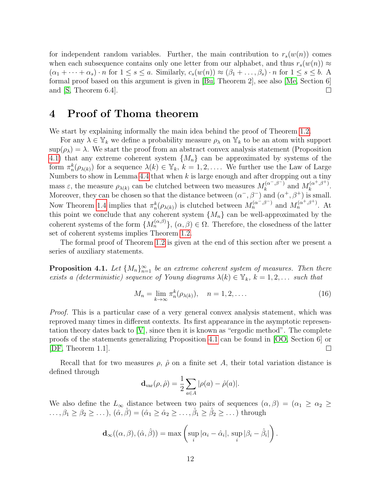for independent random variables. Further, the main contribution to  $r_s(w(n))$  comes when each subsequence contains only one letter from our alphabet, and thus  $r_s(w(n)) \approx$  $(\alpha_1 + \cdots + \alpha_s) \cdot n$  for  $1 \leq s \leq a$ . Similarly,  $c_s(w(n)) \approx (\beta_1 + \ldots, \beta_s) \cdot n$  for  $1 \leq s \leq b$ . A formal proof based on this argument is given in [\[Bu,](#page-15-6) Theorem 2], see also [\[Me,](#page-17-6) Section 6] П and [\[S,](#page-17-8) Theorem 6.4].

### <span id="page-11-0"></span>4 Proof of Thoma theorem

We start by explaining informally the main idea behind the proof of Theorem [1.2.](#page-1-1)

For any  $\lambda \in \mathbb{Y}_k$  we define a probability measure  $\rho_\lambda$  on  $\mathbb{Y}_k$  to be an atom with support  $\sup(\rho_{\lambda}) = \lambda$ . We start the proof from an abstract convex analysis statement (Proposition [4.1\)](#page-11-1) that any extreme coherent system  $\{M_n\}$  can be approximated by systems of the form  $\pi^k_n(\rho_{\lambda(k)})$  for a sequence  $\lambda(k) \in \mathbb{Y}_k$ ,  $k = 1, 2, \ldots$ . We further use the Law of Large Numbers to show in Lemma [4.4](#page-13-0) that when  $k$  is large enough and after dropping out a tiny mass  $\varepsilon$ , the measure  $\rho_{\lambda(k)}$  can be clutched between two measures  $M_k^{(\alpha^-,\beta^-)}$  $\lambda_k^{(\alpha^-,\beta^-)}$  and  $M_k^{(\alpha^+,\beta^+)}$  $\frac{1}{k}$ . Moreover, they can be chosen so that the distance between  $(\alpha^-, \beta^-)$  and  $(\alpha^+, \beta^+)$  is small. Now Theorem [1.4](#page-2-1) implies that  $\pi_n^k(\rho_{\lambda(k)})$  is clutched between  $M_n^{(\alpha^-,\beta^-)}$  and  $M_n^{(\alpha^+,\beta^+)}$ . At this point we conclude that any coherent system  $\{M_n\}$  can be well-approximated by the coherent systems of the form  $\{M_n^{(\alpha,\beta)}\}, \, (\alpha,\beta) \in \Omega$ . Therefore, the closedness of the latter set of coherent systems implies Theorem [1.2.](#page-1-1)

The formal proof of Theorem [1.2](#page-1-1) is given at the end of this section after we present a series of auxiliary statements.

<span id="page-11-1"></span>**Proposition 4.1.** Let  $\{M_n\}_{n=1}^{\infty}$  be an extreme coherent system of measures. Then there exists a (deterministic) sequence of Young diagrams  $\lambda(k) \in \mathbb{Y}_k$ ,  $k = 1, 2, \ldots$  such that

<span id="page-11-2"></span>
$$
M_n = \lim_{k \to \infty} \pi_n^k(\rho_{\lambda(k)}), \quad n = 1, 2, \dots
$$
 (16)

.

Proof. This is a particular case of a very general convex analysis statement, which was reproved many times in different contexts. Its first appearance in the asymptotic representation theory dates back to [\[V\]](#page-17-9), since then it is known as "ergodic method". The complete proofs of the statements generalizing Proposition [4.1](#page-11-1) can be found in [\[OO,](#page-17-10) Section 6] or [\[DF,](#page-16-12) Theorem 1.1].  $\Box$ 

Recall that for two measures  $\rho$ ,  $\rho$  on a finite set A, their total variation distance is defined through

$$
\mathbf{d}_{\text{var}}(\rho,\hat{\rho}) = \frac{1}{2} \sum_{a \in A} |\rho(a) - \hat{\rho}(a)|.
$$

We also define the  $L_{\infty}$  distance between two pairs of sequences  $(\alpha, \beta) = (\alpha_1 \ge \alpha_2 \ge$  $\ldots, \beta_1 \geq \beta_2 \geq \ldots$ ),  $(\hat{\alpha}, \hat{\beta}) = (\hat{\alpha}_1 \geq \hat{\alpha}_2 \geq \ldots, \hat{\beta}_1 \geq \hat{\beta}_2 \geq \ldots)$  through

$$
\mathbf{d}_{\infty}((\alpha,\beta),(\hat{\alpha},\hat{\beta})) = \max\left(\sup_{i}|\alpha_{i} - \hat{\alpha}_{i}|, \sup_{i}|\beta_{i} - \hat{\beta}_{i}|\right)
$$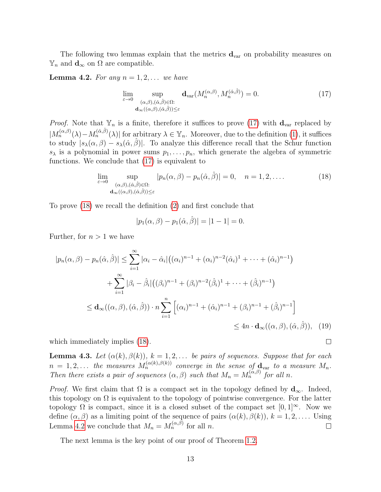The following two lemmas explain that the metrics  $\mathbf{d}_{var}$  on probability measures on  $\mathbb{Y}_n$  and  $\mathbf{d}_{\infty}$  on  $\Omega$  are compatible.

<span id="page-12-2"></span>**Lemma 4.2.** For any  $n = 1, 2, \ldots$  we have

<span id="page-12-0"></span>
$$
\lim_{\varepsilon \to 0} \sup_{\substack{(\alpha,\beta), (\hat{\alpha},\hat{\beta}) \in \Omega:\\ \mathbf{d}_{\infty}((\alpha,\beta), (\hat{\alpha},\hat{\beta})) \le \varepsilon}} \mathbf{d}_{var}(M_n^{(\alpha,\beta)}, M_n^{(\hat{\alpha},\hat{\beta})}) = 0.
$$
\n(17)

*Proof.* Note that  $\mathbb{Y}_n$  is a finite, therefore it suffices to prove [\(17\)](#page-12-0) with  $\mathbf{d}_{var}$  replaced by  $|M_n^{(\alpha,\beta)}(\lambda)-M_n^{(\hat{\alpha},\hat{\beta})}(\lambda)|$  for arbitrary  $\lambda \in \mathbb{Y}_n$ . Moreover, due to the definition [\(1\)](#page-2-2), it suffices to study  $|s_\lambda(\alpha, \beta) - s_\lambda(\hat{\alpha}, \hat{\beta})|$ . To analyze this difference recall that the Schur function  $s_{\lambda}$  is a polynomial in power sums  $p_1, \ldots, p_n$ , which generate the algebra of symmetric functions. We conclude that [\(17\)](#page-12-0) is equivalent to

<span id="page-12-1"></span>
$$
\lim_{\varepsilon \to 0} \sup_{\substack{(\alpha,\beta),(\hat{\alpha},\hat{\beta}) \in \Omega:\\ \mathbf{d}_{\infty}((\alpha,\beta),(\hat{\alpha},\hat{\beta})) \leq \varepsilon}} |p_n(\alpha,\beta) - p_n(\hat{\alpha},\hat{\beta})| = 0, \quad n = 1, 2, \dots
$$
\n(18)

To prove [\(18\)](#page-12-1) we recall the definition [\(2\)](#page-2-3) and first conclude that

$$
|p_1(\alpha, \beta) - p_1(\hat{\alpha}, \hat{\beta})| = |1 - 1| = 0.
$$

Further, for  $n > 1$  we have

$$
|p_n(\alpha, \beta) - p_n(\hat{\alpha}, \hat{\beta})| \le \sum_{i=1}^{\infty} |\alpha_i - \hat{\alpha}_i| \big( (\alpha_i)^{n-1} + (\alpha_i)^{n-2} (\hat{\alpha}_i)^1 + \dots + (\hat{\alpha}_i)^{n-1} \big) + \sum_{i=1}^{\infty} |\beta_i - \hat{\beta}_i| \big( (\beta_i)^{n-1} + (\beta_i)^{n-2} (\hat{\beta}_i)^1 + \dots + (\hat{\beta}_i)^{n-1} \big) \le \mathbf{d}_{\infty}((\alpha, \beta), (\hat{\alpha}, \hat{\beta})) \cdot n \sum_{i=1}^n \Big[ (\alpha_i)^{n-1} + (\hat{\alpha}_i)^{n-1} + (\beta_i)^{n-1} + (\hat{\beta}_i)^{n-1} \Big] \le 4n \cdot \mathbf{d}_{\infty}((\alpha, \beta), (\hat{\alpha}, \hat{\beta})), \quad (19)
$$

which immediately implies  $(18)$ .

<span id="page-12-3"></span>**Lemma 4.3.** Let  $(\alpha(k), \beta(k))$ ,  $k = 1, 2, \ldots$  be pairs of sequences. Suppose that for each  $n = 1, 2, ...$  the measures  $M_n^{(\alpha(k), \beta(k))}$  converge in the sense of  $\mathbf{d}_{\text{var}}$  to a measure  $M_n$ . Then there exists a pair of sequences  $(\alpha, \beta)$  such that  $M_n = M_n^{(\alpha, \beta)}$  for all n.

 $\Box$ 

*Proof.* We first claim that  $\Omega$  is a compact set in the topology defined by  $d_{\infty}$ . Indeed, this topology on  $\Omega$  is equivalent to the topology of pointwise convergence. For the latter topology  $\Omega$  is compact, since it is a closed subset of the compact set  $[0, 1]^\infty$ . Now we define  $(\alpha, \beta)$  as a limiting point of the sequence of pairs  $(\alpha(k), \beta(k)), k = 1, 2, \ldots$ . Using Lemma [4.2](#page-12-2) we conclude that  $M_n = M_n^{(\alpha,\beta)}$  for all n.  $\Box$ 

The next lemma is the key point of our proof of Theorem [1.2.](#page-1-1)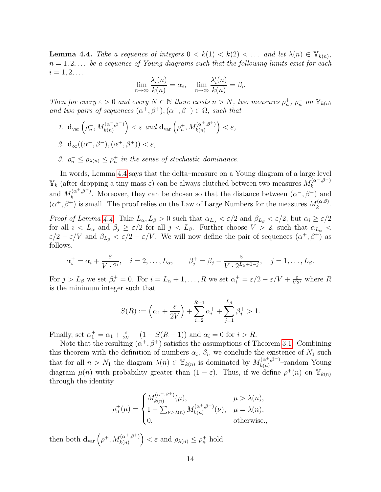<span id="page-13-0"></span>**Lemma 4.4.** Take a sequence of integers  $0 < k(1) < k(2) < \dots$  and let  $\lambda(n) \in \mathbb{Y}_{k(n)}$ ,  $n = 1, 2, \ldots$  be a sequence of Young diagrams such that the following limits exist for each  $i = 1, 2, \ldots$ 

$$
\lim_{n \to \infty} \frac{\lambda_i(n)}{k(n)} = \alpha_i, \quad \lim_{n \to \infty} \frac{\lambda'_i(n)}{k(n)} = \beta_i.
$$

Then for every  $\varepsilon > 0$  and every  $N \in \mathbb{N}$  there exists  $n > N$ , two measures  $\rho_n^+$ ,  $\rho_n^-$  on  $\mathbb{Y}_{k(n)}$ and two pairs of sequences  $(\alpha^+, \beta^+), (\alpha^-, \beta^-) \in \Omega$ , such that

- 1.  $\mathbf{d}_{var} \left( \rho_n^{-}, M_{k(n)}^{(\alpha^-,\beta^-)} \right) < \varepsilon$  and  $\mathbf{d}_{var} \left( \rho_n^{+}, M_{k(n)}^{(\alpha^+, \beta^+)} \right)$  $\binom{(\alpha^+, \beta^+)}{k(n)} \leq \varepsilon,$
- 2.  $\mathbf{d}_{\infty}((\alpha^{-}, \beta^{-}), (\alpha^{+}, \beta^{+})) < \varepsilon$ ,
- 3.  $\rho_n^- \leq \rho_{\lambda(n)} \leq \rho_n^+$  in the sense of stochastic dominance.

In words, Lemma [4.4](#page-13-0) says that the delta–measure on a Young diagram of a large level  $\mathbb{Y}_k$  (after dropping a tiny mass  $\varepsilon$ ) can be always clutched between two measures  $M_k^{(\alpha^-,\beta^-)}$ k and  $M_k^{(\alpha^+, \beta^+)}$  $k^{(\alpha^+, \beta^+)}$ . Moreover, they can be chosen so that the distance between  $(\alpha^-, \beta^-)$  and  $(\alpha^+, \beta^+)$  is small. The proof relies on the Law of Large Numbers for the measures  $M_k^{(\alpha,\beta)}$  $k^{(\alpha,\rho)}.$ 

*Proof of Lemma [4.4.](#page-13-0)* Take  $L_{\alpha}$ ,  $L_{\beta} > 0$  such that  $\alpha_{L_{\alpha}} < \varepsilon/2$  and  $\beta_{L_{\beta}} < \varepsilon/2$ , but  $\alpha_i \geq \varepsilon/2$ for all  $i < L_{\alpha}$  and  $\beta_j \geq \varepsilon/2$  for all  $j < L_{\beta}$ . Further choose  $V > 2$ , such that  $\alpha_{L_{\alpha}}$  $\varepsilon/2 - \varepsilon/V$  and  $\beta_{L_\beta} < \varepsilon/2 - \varepsilon/V$ . We will now define the pair of sequences  $(\alpha^+,\beta^+)$  as follows.

$$
\alpha_i^+ = \alpha_i + \frac{\varepsilon}{V \cdot 2^i}, \quad i = 2, \dots, L_\alpha, \qquad \beta_j^+ = \beta_j - \frac{\varepsilon}{V \cdot 2^{L_\beta + 1 - j}}, \quad j = 1, \dots, L_\beta.
$$

For  $j > L_{\beta}$  we set  $\beta_i^+ = 0$ . For  $i = L_{\alpha} + 1, \ldots, R$  we set  $\alpha_i^+ = \varepsilon/2 - \varepsilon/V + \frac{\varepsilon}{V_2^2}$  $\frac{\varepsilon}{V2^i}$  where R is the minimum integer such that

$$
S(R) := \left(\alpha_1 + \frac{\varepsilon}{2V}\right) + \sum_{i=2}^{R+1} \alpha_i^+ + \sum_{j=1}^{L_{\beta}} \beta_j^+ > 1.
$$

Finally, set  $\alpha_1^+ = \alpha_1 + \frac{\varepsilon}{2V} + (1 - S(R - 1))$  and  $\alpha_i = 0$  for  $i > R$ .

Note that the resulting  $(\alpha^+, \beta^+)$  satisfies the assumptions of Theorem [3.1.](#page-9-1) Combining this theorem with the definition of numbers  $\alpha_i$ ,  $\beta_i$ , we conclude the existence of  $N_1$  such that for all  $n > N_1$  the diagram  $\lambda(n) \in \mathbb{Y}_{k(n)}$  is dominated by  $M_{k(n)}^{(\alpha^+, \beta^+)}$  $\chi_{k(n)}^{(\alpha^*,\beta^*)}$ -random Young diagram  $\mu(n)$  with probability greater than  $(1 - \varepsilon)$ . Thus, if we define  $\rho^+(n)$  on  $\mathbb{Y}_{k(n)}$ through the identity

$$
\rho_n^+(\mu) = \begin{cases} M_{k(n)}^{(\alpha^+, \beta^+)}(\mu), & \mu > \lambda(n), \\ 1 - \sum_{\nu > \lambda(n)} M_{k(n)}^{(\alpha^+, \beta^+)}(\nu), & \mu = \lambda(n), \\ 0, & \text{otherwise.}, \end{cases}
$$

then both  $\mathbf{d}_{var}(\rho^+, M_{k(n)}^{(\alpha^+, \beta^+)}$  $\binom{\alpha^+, \beta^+}{k(n)}$   $\lt \varepsilon$  and  $\rho_{\lambda(n)} \leq \rho_n^+$  hold.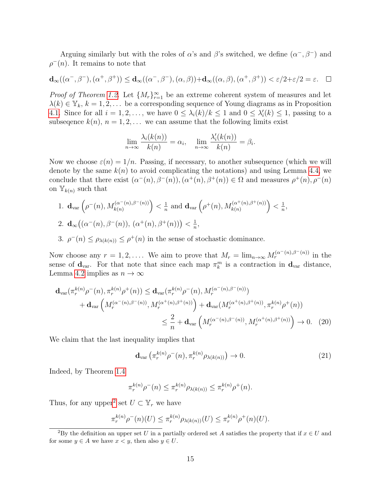Arguing similarly but with the roles of  $\alpha$ 's and  $\beta$ 's switched, we define  $(\alpha^{-}, \beta^{-})$  and  $\rho^-(n)$ . It remains to note that

$$
\mathbf{d}_{\infty}((\alpha^{-},\beta^{-}),(\alpha^{+},\beta^{+})) \leq \mathbf{d}_{\infty}((\alpha^{-},\beta^{-}),(\alpha,\beta)) + \mathbf{d}_{\infty}((\alpha,\beta),(\alpha^{+},\beta^{+})) < \varepsilon/2 + \varepsilon/2 = \varepsilon. \quad \Box
$$

*Proof of Theorem [1.2.](#page-1-1)* Let  $\{M_r\}_{r=1}^{\infty}$  be an extreme coherent system of measures and let  $\lambda(k) \in \mathbb{Y}_k$ ,  $k = 1, 2, \ldots$  be a corresponding sequence of Young diagrams as in Proposition [4.1.](#page-11-1) Since for all  $i = 1, 2, ...,$  we have  $0 \leq \lambda_i(k)/k \leq 1$  and  $0 \leq \lambda'_i(k) \leq 1$ , passing to a subsequence  $k(n)$ ,  $n = 1, 2, \ldots$  we can assume that the following limits exist

$$
\lim_{n \to \infty} \frac{\lambda_i(k(n))}{k(n)} = \alpha_i, \quad \lim_{n \to \infty} \frac{\lambda'_i(k(n))}{k(n)} = \beta_i.
$$

Now we choose  $\varepsilon(n) = 1/n$ . Passing, if necessary, to another subsequence (which we will denote by the same  $k(n)$  to avoid complicating the notations) and using Lemma [4.4,](#page-13-0) we conclude that there exist  $(\alpha^-(n), \beta^-(n)), (\alpha^+(n), \beta^+(n)) \in \Omega$  and measures  $\rho^+(n), \rho^-(n)$ on  $\mathbb{Y}_{k(n)}$  such that

1. 
$$
\mathbf{d}_{var}\left(\rho^-(n), M_{k(n)}^{(\alpha^-(n),\beta^-(n))}\right) < \frac{1}{n}
$$
 and 
$$
\mathbf{d}_{var}\left(\rho^+(n), M_{k(n)}^{(\alpha^+(n),\beta^+(n))}\right) < \frac{1}{n},
$$
  
2. 
$$
\mathbf{d}_{\infty}\left((\alpha^-(n), \beta^-(n)), (\alpha^+(n), \beta^+(n))\right) < \frac{1}{n},
$$

3. 
$$
\rho^{-}(n) \leq \rho_{\lambda(k(n))} \leq \rho^{+}(n)
$$
 in the sense of stochastic dominance.

Now choose any  $r = 1, 2, \ldots$ . We aim to prove that  $M_r = \lim_{n \to \infty} M_r^{(\alpha^-(n), \beta^-(n))}$  in the sense of  $\mathbf{d}_{var}$ . For that note that since each map  $\pi_k^m$  is a contraction in  $\mathbf{d}_{var}$  distance, Lemma [4.2](#page-12-2) implies as  $n \to \infty$ 

$$
\mathbf{d}_{var}(\pi_r^{k(n)} \rho^-(n), \pi_r^{k(n)} \rho^+(n)) \leq \mathbf{d}_{var}(\pi_r^{k(n)} \rho^-(n), M_r^{(\alpha^-(n), \beta^-(n))}) \n+ \mathbf{d}_{var} \left( M_r^{(\alpha^-(n), \beta^-(n))}, M_r^{(\alpha^+(n), \beta^+(n))}\right) + \mathbf{d}_{var}(M_r^{(\alpha^+(n), \beta^+(n))}, \pi_r^{k(n)} \rho^+(n)) \n\leq \frac{2}{n} + \mathbf{d}_{var} \left( M_r^{(\alpha^-(n), \beta^-(n))}, M_r^{(\alpha^+(n), \beta^+(n))}\right) \to 0. \tag{20}
$$

We claim that the last inequality implies that

<span id="page-14-1"></span>
$$
\mathbf{d}_{var} \left( \pi_r^{k(n)} \rho^{-}(n), \pi_r^{k(n)} \rho_{\lambda(k(n))} \right) \to 0. \tag{21}
$$

Indeed, by Theorem [1.4](#page-2-1)

$$
\pi_r^{k(n)} \rho^{-}(n) \leq \pi_r^{k(n)} \rho_{\lambda(k(n))} \leq \pi_r^{k(n)} \rho^{+}(n).
$$

Thus, for any upper<sup>[2](#page-14-0)</sup> set  $U \subset \mathbb{Y}_r$  we have

$$
\pi_r^{k(n)} \rho^{-}(n)(U) \leq \pi_r^{k(n)} \rho_{\lambda(k(n))}(U) \leq \pi_r^{k(n)} \rho^{+}(n)(U).
$$

<span id="page-14-0"></span><sup>&</sup>lt;sup>2</sup>By the definition an upper set U in a partially ordered set A satisfies the property that if  $x \in U$  and for some  $y \in A$  we have  $x \leq y$ , then also  $y \in U$ .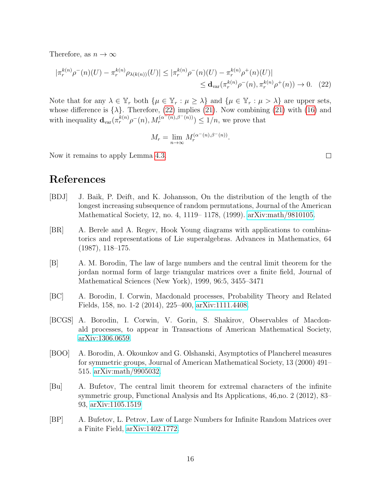Therefore, as  $n \to \infty$ 

$$
|\pi_r^{k(n)}\rho^-(n)(U) - \pi_r^{k(n)}\rho_{\lambda(k(n))}(U)| \leq |\pi_r^{k(n)}\rho^-(n)(U) - \pi_r^{k(n)}\rho^+(n)(U)|
$$
  

$$
\leq \mathbf{d}_{var}(\pi_r^{k(n)}\rho^-(n), \pi_r^{k(n)}\rho^+(n)) \to 0. \quad (22)
$$

Note that for any  $\lambda \in \mathbb{Y}_r$  both  $\{\mu \in \mathbb{Y}_r : \mu \geq \lambda\}$  and  $\{\mu \in \mathbb{Y}_r : \mu > \lambda\}$  are upper sets, whose difference is  $\{\lambda\}$ . Therefore, [\(22\)](#page-15-8) implies [\(21\)](#page-14-1). Now combining (21) with [\(16\)](#page-11-2) and with inequality  $\mathbf{d}_{var}(\pi_r^{k(n)}\rho^-(n), M_r^{(\alpha^-(n),\beta^-(n))}) \leq 1/n$ , we prove that

$$
M_r = \lim_{n \to \infty} M_r^{(\alpha^-(n), \beta^-(n))}.
$$

Now it remains to apply Lemma [4.3.](#page-12-3)

<span id="page-15-8"></span> $\Box$ 

## References

- <span id="page-15-0"></span>[BDJ] J. Baik, P. Deift, and K. Johansson, On the distribution of the length of the longest increasing subsequence of random permutations, Journal of the American Mathematical Society, 12, no. 4, 1119– 1178, (1999). [arXiv:math/9810105.](http://arxiv.org/abs/math/9810105)
- <span id="page-15-7"></span>[BR] A. Berele and A. Regev, Hook Young diagrams with applications to combinatorics and representations of Lie superalgebras. Advances in Mathematics, 64 (1987), 118–175.
- <span id="page-15-5"></span>[B] A. M. Borodin, The law of large numbers and the central limit theorem for the jordan normal form of large triangular matrices over a finite field, Journal of Mathematical Sciences (New York), 1999, 96:5, 3455–3471
- <span id="page-15-2"></span>[BC] A. Borodin, I. Corwin, Macdonald processes, Probability Theory and Related Fields, 158, no. 1-2 (2014), 225–400, [arXiv:1111.4408.](http://arxiv.org/abs/1111.4408)
- <span id="page-15-3"></span>[BCGS] A. Borodin, I. Corwin, V. Gorin, S. Shakirov, Observables of Macdonald processes, to appear in Transactions of American Mathematical Society, [arXiv:1306.0659.](http://arxiv.org/abs/1306.0659)
- <span id="page-15-1"></span>[BOO] A. Borodin, A. Okounkov and G. Olshanski, Asymptotics of Plancherel measures for symmetric groups, Journal of American Mathematical Society, 13 (2000) 491– 515. [arXiv:math/9905032.](http://arxiv.org/abs/math/9905032)
- <span id="page-15-6"></span>[Bu] A. Bufetov, The central limit theorem for extremal characters of the infinite symmetric group, Functional Analysis and Its Applications, 46,no. 2 (2012), 83– 93, [arXiv:1105.1519](http://arxiv.org/abs/1105.1519)
- <span id="page-15-4"></span>[BP] A. Bufetov, L. Petrov, Law of Large Numbers for Infinite Random Matrices over a Finite Field, [arXiv:1402.1772.](http://arxiv.org/abs/1402.1772)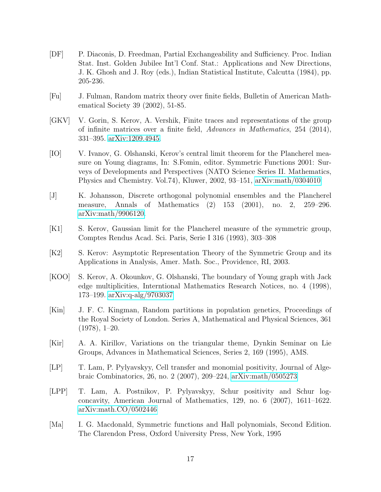- <span id="page-16-12"></span>[DF] P. Diaconis, D. Freedman, Partial Exchangeability and Sufficiency. Proc. Indian Stat. Inst. Golden Jubilee Int'l Conf. Stat.: Applications and New Directions, J. K. Ghosh and J. Roy (eds.), Indian Statistical Institute, Calcutta (1984), pp. 205-236.
- <span id="page-16-7"></span>[Fu] J. Fulman, Random matrix theory over finite fields, Bulletin of American Mathematical Society 39 (2002), 51-85.
- <span id="page-16-6"></span>[GKV] V. Gorin, S. Kerov, A. Vershik, Finite traces and representations of the group of infinite matrices over a finite field, Advances in Mathematics, 254 (2014), 331–395. [arXiv:1209.4945.](http://arxiv.org/abs/1209.4945)
- <span id="page-16-3"></span>[IO] V. Ivanov, G. Olshanski, Kerov's central limit theorem for the Plancherel measure on Young diagrams, In: S.Fomin, editor. Symmetric Functions 2001: Surveys of Developments and Perspectives (NATO Science Series II. Mathematics, Physics and Chemistry. Vol.74), Kluwer, 2002, 93–151, [arXiv:math/0304010](http://arxiv.org/abs/math/0304010)
- <span id="page-16-1"></span>[J] K. Johansson, Discrete orthogonal polynomial ensembles and the Plancherel measure, Annals of Mathematics (2) 153 (2001), no. 2, 259–296. [arXiv:math/9906120.](http://arxiv.org/abs/math/9906120)
- <span id="page-16-2"></span>[K1] S. Kerov, Gaussian limit for the Plancherel measure of the symmetric group, Comptes Rendus Acad. Sci. Paris, Serie I 316 (1993), 303–308
- <span id="page-16-0"></span>[K2] S. Kerov: Asymptotic Representation Theory of the Symmetric Group and its Applications in Analysis, Amer. Math. Soc., Providence, RI, 2003.
- <span id="page-16-5"></span>[KOO] S. Kerov, A. Okounkov, G. Olshanski, The boundary of Young graph with Jack edge multiplicities, Interntional Mathematics Research Notices, no. 4 (1998), 173–199. [arXiv:q-alg/9703037](http://arxiv.org/abs/q-alg/9703037)
- <span id="page-16-9"></span>[Kin] J. F. C. Kingman, Random partitions in population genetics, Proceedings of the Royal Society of London. Series A, Mathematical and Physical Sciences, 361 (1978), 1–20.
- <span id="page-16-8"></span>[Kir] A. A. Kirillov, Variations on the triangular theme, Dynkin Seminar on Lie Groups, Advances in Mathematical Sciences, Series 2, 169 (1995), AMS.
- <span id="page-16-11"></span>[LP] T. Lam, P. Pylyavskyy, Cell transfer and monomial positivity, Journal of Algebraic Combinatorics, 26, no. 2 (2007), 209–224, [arXiv:math/0505273](http://arxiv.org/abs/math/0505273)
- <span id="page-16-10"></span>[LPP] T. Lam, A. Postnikov, P. Pylyavskyy, Schur positivity and Schur logconcavity, American Journal of Mathematics, 129, no. 6 (2007), 1611–1622. [arXiv:math.CO/0502446](http://arxiv.org/abs/math/0502446)
- <span id="page-16-4"></span>[Ma] I. G. Macdonald, Symmetric functions and Hall polynomials, Second Edition. The Clarendon Press, Oxford University Press, New York, 1995